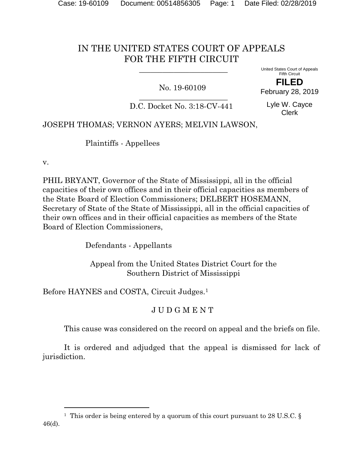## IN THE UNITED STATES COURT OF APPEALS FOR THE FIFTH CIRCUIT

 $\overline{\phantom{a}}$  , where  $\overline{\phantom{a}}$  , where  $\overline{\phantom{a}}$  , where  $\overline{\phantom{a}}$ 

## No. 19-60109

United States Court of Appeals Fifth Circuit **FILED**

February 28, 2019

 $\overline{\phantom{a}}$  , where  $\overline{\phantom{a}}$  , where  $\overline{\phantom{a}}$  , where  $\overline{\phantom{a}}$  ,  $\overline{\phantom{a}}$  ,  $\overline{\phantom{a}}$  ,  $\overline{\phantom{a}}$  ,  $\overline{\phantom{a}}$  ,  $\overline{\phantom{a}}$  ,  $\overline{\phantom{a}}$  ,  $\overline{\phantom{a}}$  ,  $\overline{\phantom{a}}$  ,  $\overline{\phantom{a}}$  ,  $\overline{\phantom{a}}$  ,  $\overline{\phantom$ D.C. Docket No. 3:18-CV-441

Lyle W. Cayce Clerk

## JOSEPH THOMAS; VERNON AYERS; MELVIN LAWSON,

Plaintiffs - Appellees

v.

l

PHIL BRYANT, Governor of the State of Mississippi, all in the official capacities of their own offices and in their official capacities as members of the State Board of Election Commissioners; DELBERT HOSEMANN, Secretary of State of the State of Mississippi, all in the official capacities of their own offices and in their official capacities as members of the State Board of Election Commissioners,

Defendants - Appellants

 Appeal from the United States District Court for the Southern District of Mississippi

Before HAYNES and COSTA, Circuit Judges.<sup>1</sup>

## J U D G M E N T

This cause was considered on the record on appeal and the briefs on file.

It is ordered and adjudged that the appeal is dismissed for lack of jurisdiction.

<sup>&</sup>lt;sup>1</sup> This order is being entered by a quorum of this court pursuant to 28 U.S.C. § 46(d).